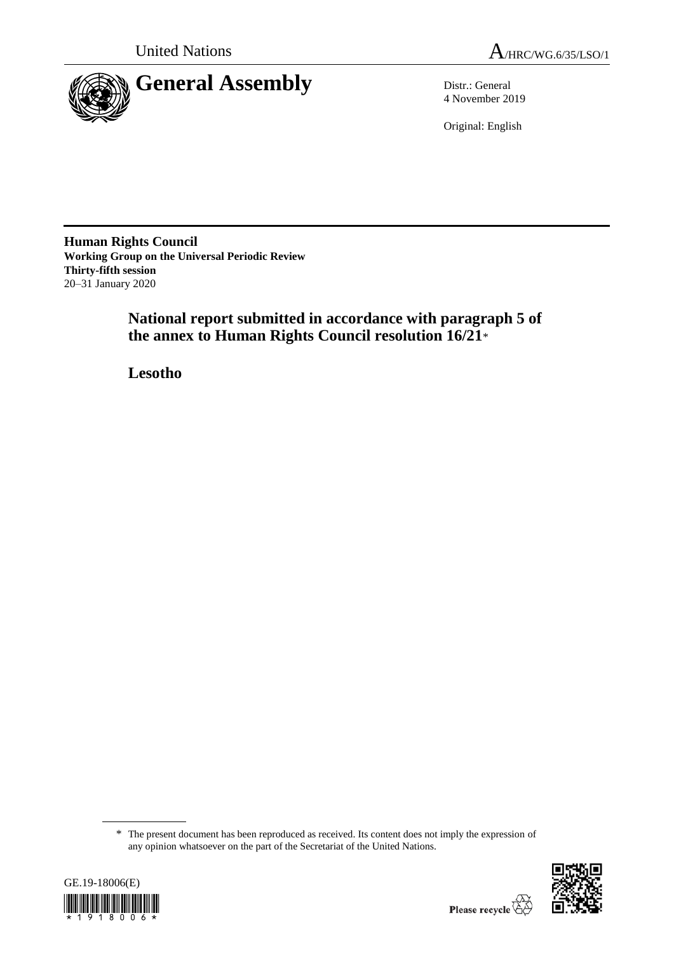



4 November 2019

Original: English

**Human Rights Council Working Group on the Universal Periodic Review Thirty-fifth session** 20–31 January 2020

> **National report submitted in accordance with paragraph 5 of the annex to Human Rights Council resolution 16/21**\*

**Lesotho**

<sup>\*</sup> The present document has been reproduced as received. Its content does not imply the expression of any opinion whatsoever on the part of the Secretariat of the United Nations.



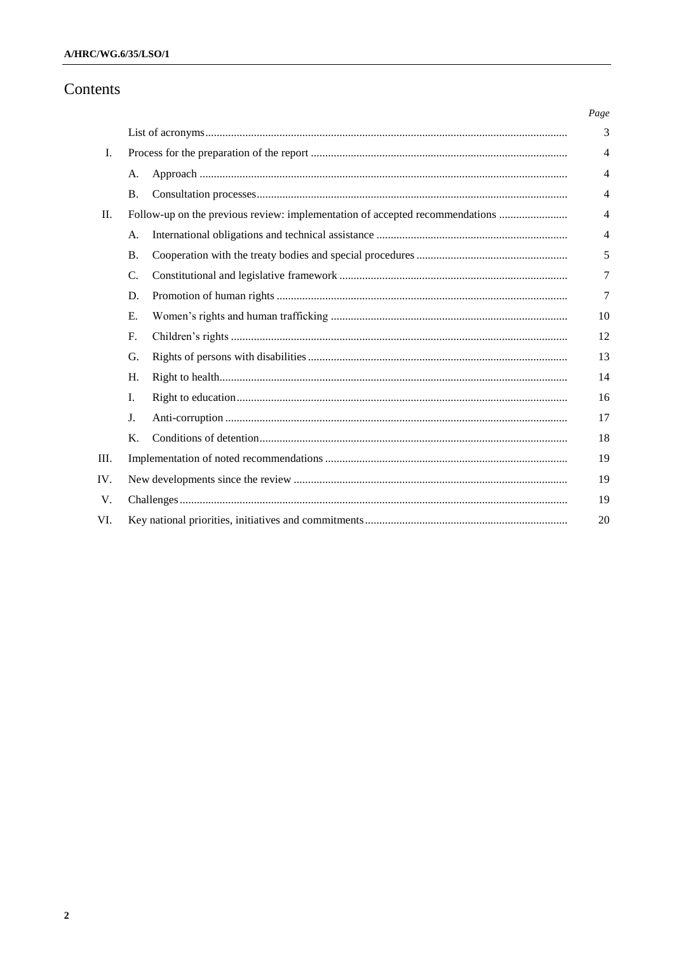# Contents

|     |                                                                              |    | Page           |  |  |  |
|-----|------------------------------------------------------------------------------|----|----------------|--|--|--|
|     |                                                                              |    | 3              |  |  |  |
| Ι.  |                                                                              |    |                |  |  |  |
|     | А.                                                                           |    | $\overline{4}$ |  |  |  |
|     | <b>B.</b>                                                                    |    | $\overline{4}$ |  |  |  |
| П.  | Follow-up on the previous review: implementation of accepted recommendations |    |                |  |  |  |
|     | А.                                                                           |    | $\overline{4}$ |  |  |  |
|     | <b>B.</b>                                                                    |    | 5              |  |  |  |
|     | C.                                                                           |    | 7              |  |  |  |
|     | D.                                                                           |    | 7              |  |  |  |
|     | Е.                                                                           |    | 10             |  |  |  |
|     | F.                                                                           |    | 12             |  |  |  |
|     | G.                                                                           |    | 13             |  |  |  |
|     | Н.                                                                           |    | 14             |  |  |  |
|     | I.                                                                           |    | 16             |  |  |  |
|     | J.                                                                           |    | 17             |  |  |  |
|     | Κ.                                                                           |    | 18             |  |  |  |
| Ш.  |                                                                              |    |                |  |  |  |
| IV. |                                                                              |    |                |  |  |  |
| V.  | 19                                                                           |    |                |  |  |  |
| VI. |                                                                              | 20 |                |  |  |  |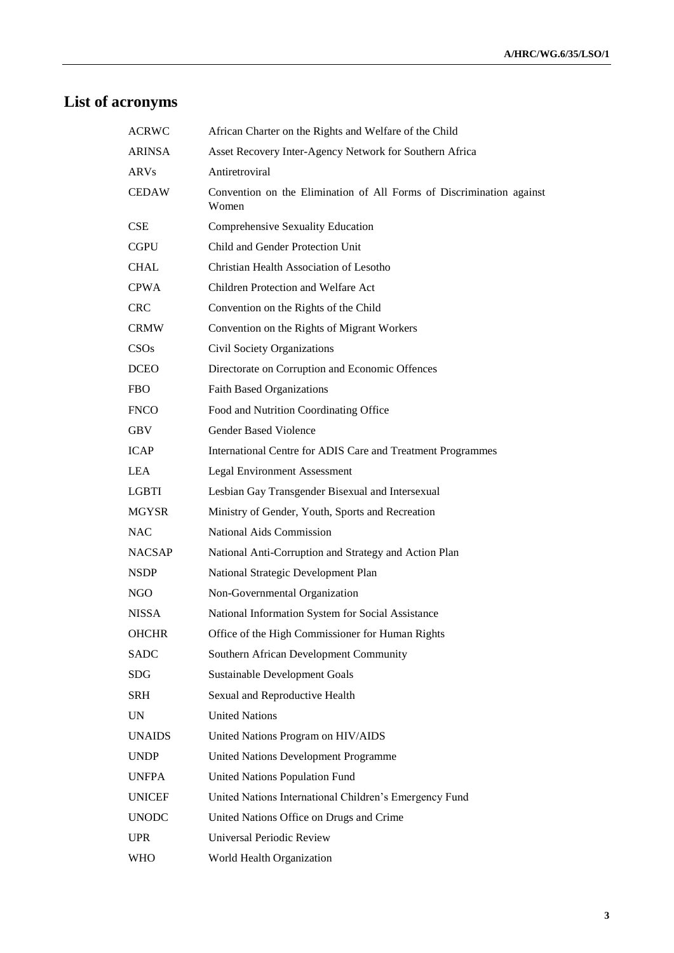# **List of acronyms**

| <b>ACRWC</b>  | African Charter on the Rights and Welfare of the Child                        |
|---------------|-------------------------------------------------------------------------------|
| ARINSA        | Asset Recovery Inter-Agency Network for Southern Africa                       |
| <b>ARVs</b>   | Antiretroviral                                                                |
| <b>CEDAW</b>  | Convention on the Elimination of All Forms of Discrimination against<br>Women |
| CSE           | Comprehensive Sexuality Education                                             |
| <b>CGPU</b>   | Child and Gender Protection Unit                                              |
| <b>CHAL</b>   | Christian Health Association of Lesotho                                       |
| <b>CPWA</b>   | Children Protection and Welfare Act                                           |
| <b>CRC</b>    | Convention on the Rights of the Child                                         |
| <b>CRMW</b>   | Convention on the Rights of Migrant Workers                                   |
| CSOs          | Civil Society Organizations                                                   |
| <b>DCEO</b>   | Directorate on Corruption and Economic Offences                               |
| <b>FBO</b>    | <b>Faith Based Organizations</b>                                              |
| <b>FNCO</b>   | Food and Nutrition Coordinating Office                                        |
| <b>GBV</b>    | <b>Gender Based Violence</b>                                                  |
| <b>ICAP</b>   | International Centre for ADIS Care and Treatment Programmes                   |
| <b>LEA</b>    | <b>Legal Environment Assessment</b>                                           |
| <b>LGBTI</b>  | Lesbian Gay Transgender Bisexual and Intersexual                              |
| <b>MGYSR</b>  | Ministry of Gender, Youth, Sports and Recreation                              |
| <b>NAC</b>    | National Aids Commission                                                      |
| <b>NACSAP</b> | National Anti-Corruption and Strategy and Action Plan                         |
| <b>NSDP</b>   | National Strategic Development Plan                                           |
| NGO           | Non-Governmental Organization                                                 |
| <b>NISSA</b>  | National Information System for Social Assistance                             |
| <b>OHCHR</b>  | Office of the High Commissioner for Human Rights                              |
| <b>SADC</b>   | Southern African Development Community                                        |
| <b>SDG</b>    | <b>Sustainable Development Goals</b>                                          |
| <b>SRH</b>    | Sexual and Reproductive Health                                                |
| <b>UN</b>     | <b>United Nations</b>                                                         |
| <b>UNAIDS</b> | United Nations Program on HIV/AIDS                                            |
| <b>UNDP</b>   | <b>United Nations Development Programme</b>                                   |
| <b>UNFPA</b>  | <b>United Nations Population Fund</b>                                         |
| <b>UNICEF</b> | United Nations International Children's Emergency Fund                        |
| <b>UNODC</b>  | United Nations Office on Drugs and Crime                                      |
| <b>UPR</b>    | Universal Periodic Review                                                     |
| <b>WHO</b>    | World Health Organization                                                     |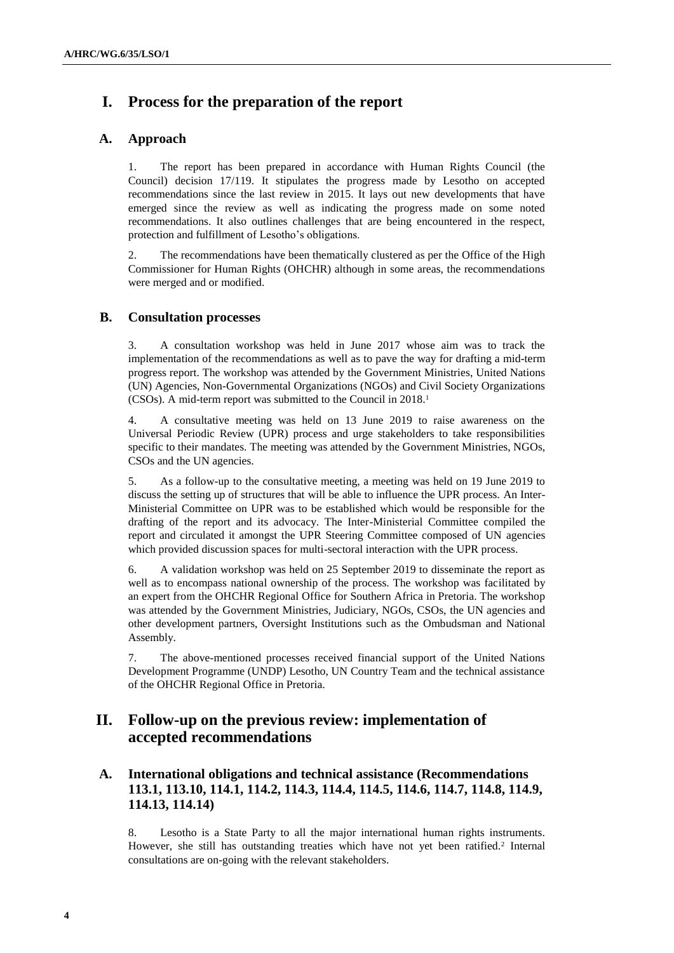# **I. Process for the preparation of the report**

#### **A. Approach**

1. The report has been prepared in accordance with Human Rights Council (the Council) decision 17/119. It stipulates the progress made by Lesotho on accepted recommendations since the last review in 2015. It lays out new developments that have emerged since the review as well as indicating the progress made on some noted recommendations. It also outlines challenges that are being encountered in the respect, protection and fulfillment of Lesotho's obligations.

2. The recommendations have been thematically clustered as per the Office of the High Commissioner for Human Rights (OHCHR) although in some areas, the recommendations were merged and or modified.

#### **B. Consultation processes**

3. A consultation workshop was held in June 2017 whose aim was to track the implementation of the recommendations as well as to pave the way for drafting a mid-term progress report. The workshop was attended by the Government Ministries, United Nations (UN) Agencies, Non-Governmental Organizations (NGOs) and Civil Society Organizations (CSOs). A mid-term report was submitted to the Council in 2018.<sup>1</sup>

4. A consultative meeting was held on 13 June 2019 to raise awareness on the Universal Periodic Review (UPR) process and urge stakeholders to take responsibilities specific to their mandates. The meeting was attended by the Government Ministries, NGOs, CSOs and the UN agencies.

5. As a follow-up to the consultative meeting, a meeting was held on 19 June 2019 to discuss the setting up of structures that will be able to influence the UPR process. An Inter-Ministerial Committee on UPR was to be established which would be responsible for the drafting of the report and its advocacy. The Inter-Ministerial Committee compiled the report and circulated it amongst the UPR Steering Committee composed of UN agencies which provided discussion spaces for multi-sectoral interaction with the UPR process.

6. A validation workshop was held on 25 September 2019 to disseminate the report as well as to encompass national ownership of the process. The workshop was facilitated by an expert from the OHCHR Regional Office for Southern Africa in Pretoria. The workshop was attended by the Government Ministries, Judiciary, NGOs, CSOs, the UN agencies and other development partners, Oversight Institutions such as the Ombudsman and National Assembly.

7. The above-mentioned processes received financial support of the United Nations Development Programme (UNDP) Lesotho, UN Country Team and the technical assistance of the OHCHR Regional Office in Pretoria.

# **II. Follow-up on the previous review: implementation of accepted recommendations**

# **A. International obligations and technical assistance (Recommendations 113.1, 113.10, 114.1, 114.2, 114.3, 114.4, 114.5, 114.6, 114.7, 114.8, 114.9, 114.13, 114.14)**

8. Lesotho is a State Party to all the major international human rights instruments. However, she still has outstanding treaties which have not yet been ratified.<sup>2</sup> Internal consultations are on-going with the relevant stakeholders.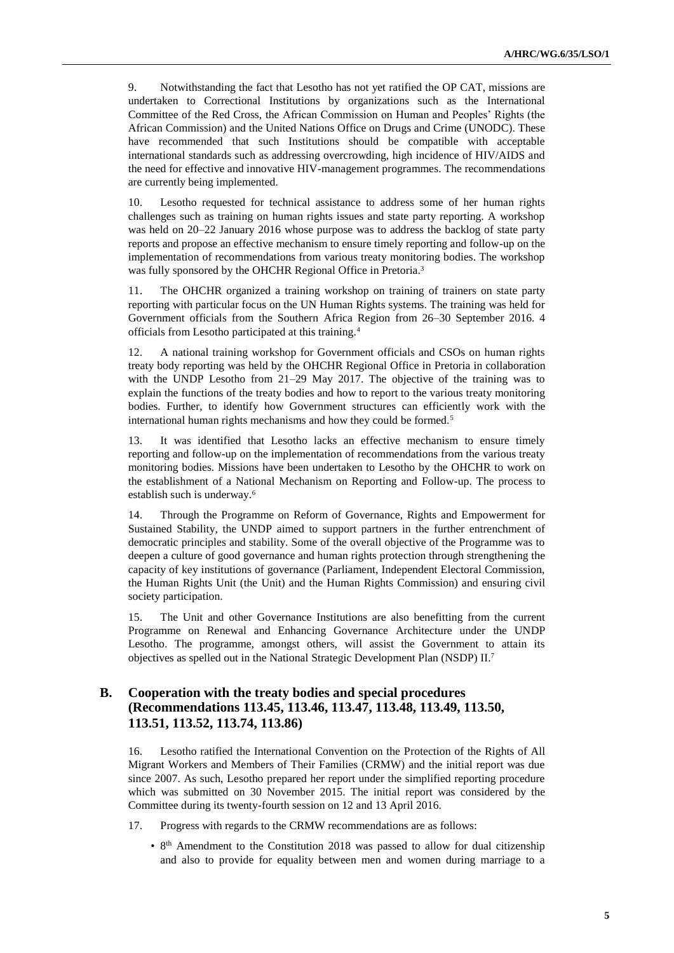9. Notwithstanding the fact that Lesotho has not yet ratified the OP CAT, missions are undertaken to Correctional Institutions by organizations such as the International Committee of the Red Cross, the African Commission on Human and Peoples' Rights (the African Commission) and the United Nations Office on Drugs and Crime (UNODC). These have recommended that such Institutions should be compatible with acceptable international standards such as addressing overcrowding, high incidence of HIV/AIDS and the need for effective and innovative HIV-management programmes. The recommendations are currently being implemented.

10. Lesotho requested for technical assistance to address some of her human rights challenges such as training on human rights issues and state party reporting. A workshop was held on 20–22 January 2016 whose purpose was to address the backlog of state party reports and propose an effective mechanism to ensure timely reporting and follow-up on the implementation of recommendations from various treaty monitoring bodies. The workshop was fully sponsored by the OHCHR Regional Office in Pretoria.<sup>3</sup>

11. The OHCHR organized a training workshop on training of trainers on state party reporting with particular focus on the UN Human Rights systems. The training was held for Government officials from the Southern Africa Region from 26–30 September 2016. 4 officials from Lesotho participated at this training.<sup>4</sup>

12. A national training workshop for Government officials and CSOs on human rights treaty body reporting was held by the OHCHR Regional Office in Pretoria in collaboration with the UNDP Lesotho from 21–29 May 2017. The objective of the training was to explain the functions of the treaty bodies and how to report to the various treaty monitoring bodies. Further, to identify how Government structures can efficiently work with the international human rights mechanisms and how they could be formed.<sup>5</sup>

13. It was identified that Lesotho lacks an effective mechanism to ensure timely reporting and follow-up on the implementation of recommendations from the various treaty monitoring bodies. Missions have been undertaken to Lesotho by the OHCHR to work on the establishment of a National Mechanism on Reporting and Follow-up. The process to establish such is underway.<sup>6</sup>

14. Through the Programme on Reform of Governance, Rights and Empowerment for Sustained Stability, the UNDP aimed to support partners in the further entrenchment of democratic principles and stability. Some of the overall objective of the Programme was to deepen a culture of good governance and human rights protection through strengthening the capacity of key institutions of governance (Parliament, Independent Electoral Commission, the Human Rights Unit (the Unit) and the Human Rights Commission) and ensuring civil society participation.

15. The Unit and other Governance Institutions are also benefitting from the current Programme on Renewal and Enhancing Governance Architecture under the UNDP Lesotho. The programme, amongst others, will assist the Government to attain its objectives as spelled out in the National Strategic Development Plan (NSDP) II.<sup>7</sup>

### **B. Cooperation with the treaty bodies and special procedures (Recommendations 113.45, 113.46, 113.47, 113.48, 113.49, 113.50, 113.51, 113.52, 113.74, 113.86)**

16. Lesotho ratified the International Convention on the Protection of the Rights of All Migrant Workers and Members of Their Families (CRMW) and the initial report was due since 2007. As such, Lesotho prepared her report under the simplified reporting procedure which was submitted on 30 November 2015. The initial report was considered by the Committee during its twenty-fourth session on 12 and 13 April 2016.

- 17. Progress with regards to the CRMW recommendations are as follows:
	- 8<sup>th</sup> Amendment to the Constitution 2018 was passed to allow for dual citizenship and also to provide for equality between men and women during marriage to a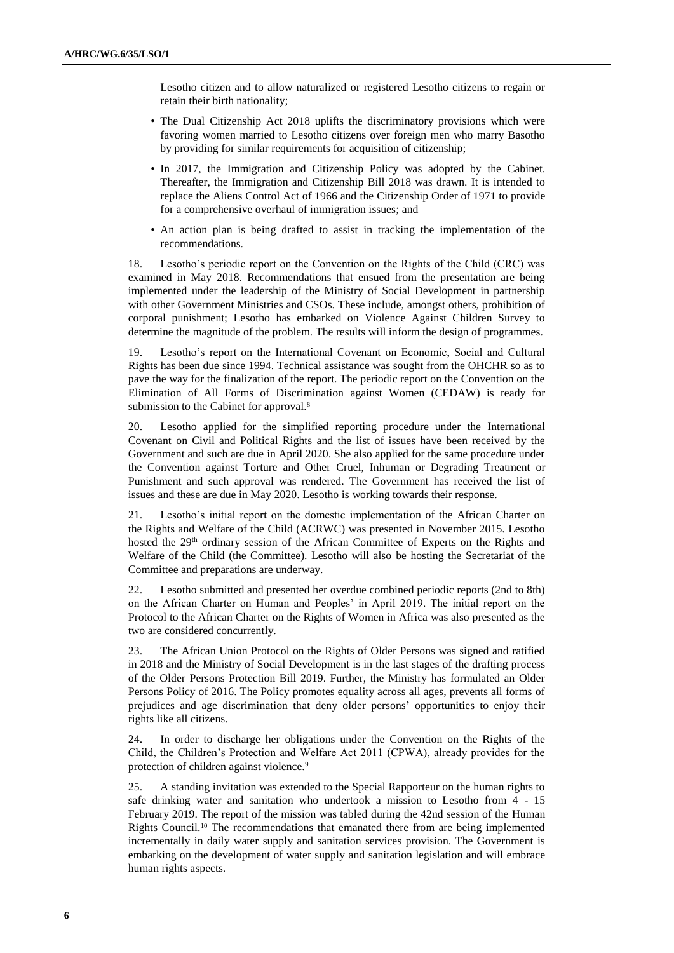Lesotho citizen and to allow naturalized or registered Lesotho citizens to regain or retain their birth nationality;

- The Dual Citizenship Act 2018 uplifts the discriminatory provisions which were favoring women married to Lesotho citizens over foreign men who marry Basotho by providing for similar requirements for acquisition of citizenship;
- In 2017, the Immigration and Citizenship Policy was adopted by the Cabinet. Thereafter, the Immigration and Citizenship Bill 2018 was drawn. It is intended to replace the Aliens Control Act of 1966 and the Citizenship Order of 1971 to provide for a comprehensive overhaul of immigration issues; and
- An action plan is being drafted to assist in tracking the implementation of the recommendations.

18. Lesotho's periodic report on the Convention on the Rights of the Child (CRC) was examined in May 2018. Recommendations that ensued from the presentation are being implemented under the leadership of the Ministry of Social Development in partnership with other Government Ministries and CSOs. These include, amongst others, prohibition of corporal punishment; Lesotho has embarked on Violence Against Children Survey to determine the magnitude of the problem. The results will inform the design of programmes.

19. Lesotho's report on the International Covenant on Economic, Social and Cultural Rights has been due since 1994. Technical assistance was sought from the OHCHR so as to pave the way for the finalization of the report. The periodic report on the Convention on the Elimination of All Forms of Discrimination against Women (CEDAW) is ready for submission to the Cabinet for approval.<sup>8</sup>

20. Lesotho applied for the simplified reporting procedure under the International Covenant on Civil and Political Rights and the list of issues have been received by the Government and such are due in April 2020. She also applied for the same procedure under the Convention against Torture and Other Cruel, Inhuman or Degrading Treatment or Punishment and such approval was rendered. The Government has received the list of issues and these are due in May 2020. Lesotho is working towards their response.

21. Lesotho's initial report on the domestic implementation of the African Charter on the Rights and Welfare of the Child (ACRWC) was presented in November 2015. Lesotho hosted the 29<sup>th</sup> ordinary session of the African Committee of Experts on the Rights and Welfare of the Child (the Committee). Lesotho will also be hosting the Secretariat of the Committee and preparations are underway.

22. Lesotho submitted and presented her overdue combined periodic reports (2nd to 8th) on the African Charter on Human and Peoples' in April 2019. The initial report on the Protocol to the African Charter on the Rights of Women in Africa was also presented as the two are considered concurrently.

23. The African Union Protocol on the Rights of Older Persons was signed and ratified in 2018 and the Ministry of Social Development is in the last stages of the drafting process of the Older Persons Protection Bill 2019. Further, the Ministry has formulated an Older Persons Policy of 2016. The Policy promotes equality across all ages, prevents all forms of prejudices and age discrimination that deny older persons' opportunities to enjoy their rights like all citizens.

24. In order to discharge her obligations under the Convention on the Rights of the Child, the Children's Protection and Welfare Act 2011 (CPWA), already provides for the protection of children against violence.<sup>9</sup>

25. A standing invitation was extended to the Special Rapporteur on the human rights to safe drinking water and sanitation who undertook a mission to Lesotho from 4 - 15 February 2019. The report of the mission was tabled during the 42nd session of the Human Rights Council.<sup>10</sup> The recommendations that emanated there from are being implemented incrementally in daily water supply and sanitation services provision. The Government is embarking on the development of water supply and sanitation legislation and will embrace human rights aspects.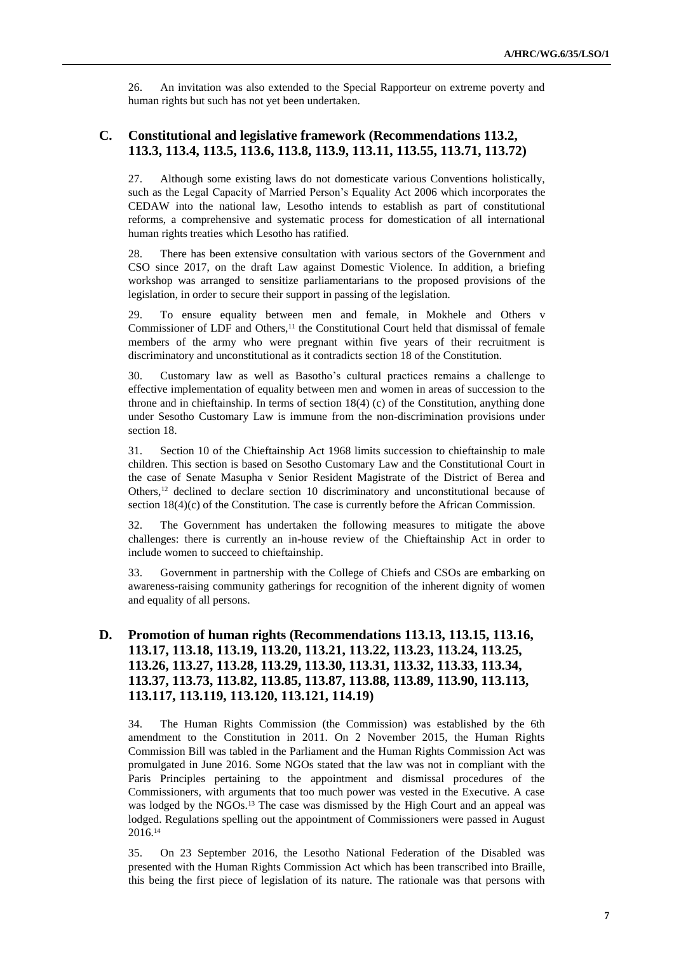26. An invitation was also extended to the Special Rapporteur on extreme poverty and human rights but such has not yet been undertaken.

#### **C. Constitutional and legislative framework (Recommendations 113.2, 113.3, 113.4, 113.5, 113.6, 113.8, 113.9, 113.11, 113.55, 113.71, 113.72)**

27. Although some existing laws do not domesticate various Conventions holistically, such as the Legal Capacity of Married Person's Equality Act 2006 which incorporates the CEDAW into the national law, Lesotho intends to establish as part of constitutional reforms, a comprehensive and systematic process for domestication of all international human rights treaties which Lesotho has ratified.

28. There has been extensive consultation with various sectors of the Government and CSO since 2017, on the draft Law against Domestic Violence. In addition, a briefing workshop was arranged to sensitize parliamentarians to the proposed provisions of the legislation, in order to secure their support in passing of the legislation.

29. To ensure equality between men and female, in Mokhele and Others v Commissioner of LDF and Others,<sup>11</sup> the Constitutional Court held that dismissal of female members of the army who were pregnant within five years of their recruitment is discriminatory and unconstitutional as it contradicts section 18 of the Constitution.

30. Customary law as well as Basotho's cultural practices remains a challenge to effective implementation of equality between men and women in areas of succession to the throne and in chieftainship. In terms of section 18(4) (c) of the Constitution, anything done under Sesotho Customary Law is immune from the non-discrimination provisions under section 18.

31. Section 10 of the Chieftainship Act 1968 limits succession to chieftainship to male children. This section is based on Sesotho Customary Law and the Constitutional Court in the case of Senate Masupha v Senior Resident Magistrate of the District of Berea and Others,<sup>12</sup> declined to declare section 10 discriminatory and unconstitutional because of section 18(4)(c) of the Constitution. The case is currently before the African Commission.

32. The Government has undertaken the following measures to mitigate the above challenges: there is currently an in-house review of the Chieftainship Act in order to include women to succeed to chieftainship.

33. Government in partnership with the College of Chiefs and CSOs are embarking on awareness-raising community gatherings for recognition of the inherent dignity of women and equality of all persons.

## **D. Promotion of human rights (Recommendations 113.13, 113.15, 113.16, 113.17, 113.18, 113.19, 113.20, 113.21, 113.22, 113.23, 113.24, 113.25, 113.26, 113.27, 113.28, 113.29, 113.30, 113.31, 113.32, 113.33, 113.34, 113.37, 113.73, 113.82, 113.85, 113.87, 113.88, 113.89, 113.90, 113.113, 113.117, 113.119, 113.120, 113.121, 114.19)**

34. The Human Rights Commission (the Commission) was established by the 6th amendment to the Constitution in 2011. On 2 November 2015, the Human Rights Commission Bill was tabled in the Parliament and the Human Rights Commission Act was promulgated in June 2016. Some NGOs stated that the law was not in compliant with the Paris Principles pertaining to the appointment and dismissal procedures of the Commissioners, with arguments that too much power was vested in the Executive. A case was lodged by the NGOs.<sup>13</sup> The case was dismissed by the High Court and an appeal was lodged. Regulations spelling out the appointment of Commissioners were passed in August 2016.<sup>14</sup>

35. On 23 September 2016, the Lesotho National Federation of the Disabled was presented with the Human Rights Commission Act which has been transcribed into Braille, this being the first piece of legislation of its nature. The rationale was that persons with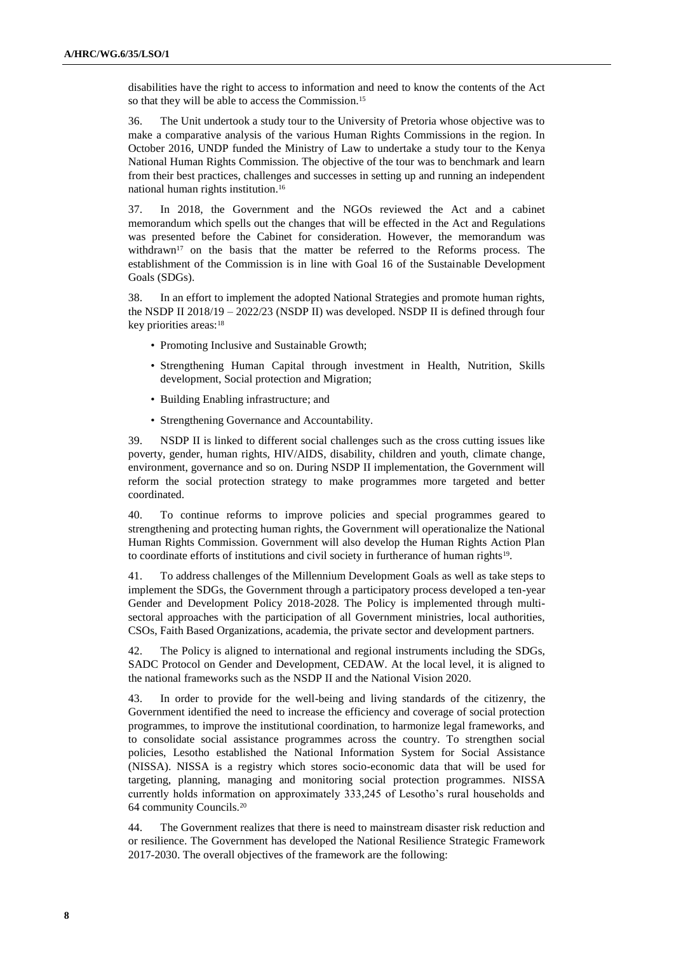disabilities have the right to access to information and need to know the contents of the Act so that they will be able to access the Commission.<sup>15</sup>

36. The Unit undertook a study tour to the University of Pretoria whose objective was to make a comparative analysis of the various Human Rights Commissions in the region. In October 2016, UNDP funded the Ministry of Law to undertake a study tour to the Kenya National Human Rights Commission. The objective of the tour was to benchmark and learn from their best practices, challenges and successes in setting up and running an independent national human rights institution.<sup>16</sup>

37. In 2018, the Government and the NGOs reviewed the Act and a cabinet memorandum which spells out the changes that will be effected in the Act and Regulations was presented before the Cabinet for consideration. However, the memorandum was withdrawn<sup>17</sup> on the basis that the matter be referred to the Reforms process. The establishment of the Commission is in line with Goal 16 of the Sustainable Development Goals (SDGs).

38. In an effort to implement the adopted National Strategies and promote human rights, the NSDP II 2018/19 – 2022/23 (NSDP II) was developed. NSDP II is defined through four key priorities areas:<sup>18</sup>

- Promoting Inclusive and Sustainable Growth;
- Strengthening Human Capital through investment in Health, Nutrition, Skills development, Social protection and Migration;
- Building Enabling infrastructure; and
- Strengthening Governance and Accountability.

39. NSDP II is linked to different social challenges such as the cross cutting issues like poverty, gender, human rights, HIV/AIDS, disability, children and youth, climate change, environment, governance and so on. During NSDP II implementation, the Government will reform the social protection strategy to make programmes more targeted and better coordinated.

40. To continue reforms to improve policies and special programmes geared to strengthening and protecting human rights, the Government will operationalize the National Human Rights Commission. Government will also develop the Human Rights Action Plan to coordinate efforts of institutions and civil society in furtherance of human rights<sup>19</sup>.

41. To address challenges of the Millennium Development Goals as well as take steps to implement the SDGs, the Government through a participatory process developed a ten-year Gender and Development Policy 2018-2028. The Policy is implemented through multisectoral approaches with the participation of all Government ministries, local authorities, CSOs, Faith Based Organizations, academia, the private sector and development partners.

42. The Policy is aligned to international and regional instruments including the SDGs, SADC Protocol on Gender and Development, CEDAW. At the local level, it is aligned to the national frameworks such as the NSDP II and the National Vision 2020.

43. In order to provide for the well-being and living standards of the citizenry, the Government identified the need to increase the efficiency and coverage of social protection programmes, to improve the institutional coordination, to harmonize legal frameworks, and to consolidate social assistance programmes across the country. To strengthen social policies, Lesotho established the National Information System for Social Assistance (NISSA). NISSA is a registry which stores socio-economic data that will be used for targeting, planning, managing and monitoring social protection programmes. NISSA currently holds information on approximately 333,245 of Lesotho's rural households and 64 community Councils.<sup>20</sup>

44. The Government realizes that there is need to mainstream disaster risk reduction and or resilience. The Government has developed the National Resilience Strategic Framework 2017-2030. The overall objectives of the framework are the following: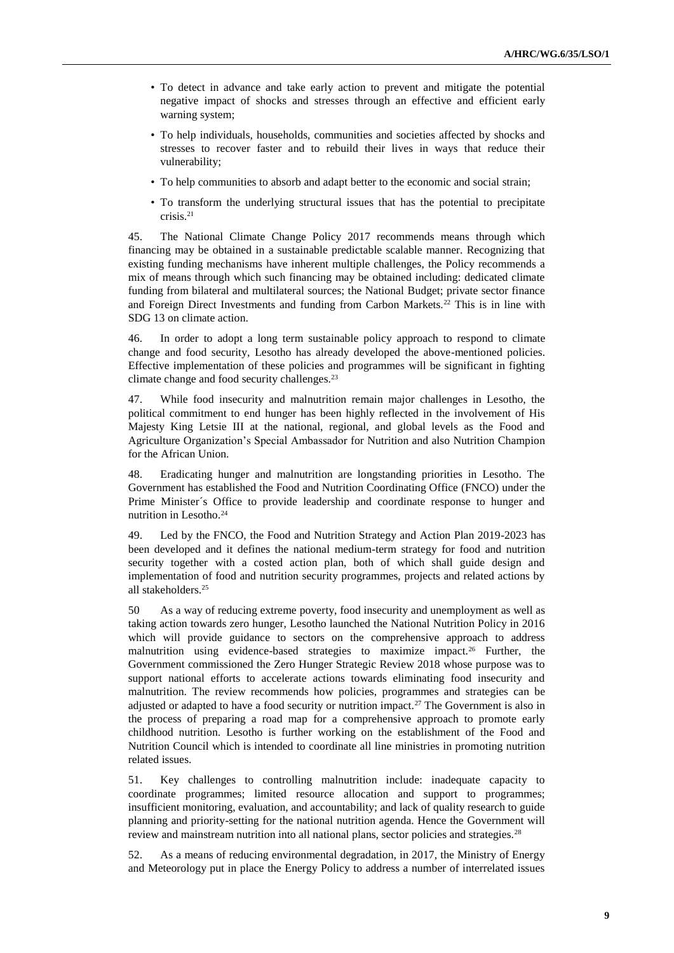- To detect in advance and take early action to prevent and mitigate the potential negative impact of shocks and stresses through an effective and efficient early warning system;
- To help individuals, households, communities and societies affected by shocks and stresses to recover faster and to rebuild their lives in ways that reduce their vulnerability;
- To help communities to absorb and adapt better to the economic and social strain;
- To transform the underlying structural issues that has the potential to precipitate crisis.<sup>21</sup>

45. The National Climate Change Policy 2017 recommends means through which financing may be obtained in a sustainable predictable scalable manner. Recognizing that existing funding mechanisms have inherent multiple challenges, the Policy recommends a mix of means through which such financing may be obtained including: dedicated climate funding from bilateral and multilateral sources; the National Budget; private sector finance and Foreign Direct Investments and funding from Carbon Markets.<sup>22</sup> This is in line with SDG 13 on climate action.

46. In order to adopt a long term sustainable policy approach to respond to climate change and food security, Lesotho has already developed the above-mentioned policies. Effective implementation of these policies and programmes will be significant in fighting climate change and food security challenges.<sup>23</sup>

47. While food insecurity and malnutrition remain major challenges in Lesotho, the political commitment to end hunger has been highly reflected in the involvement of His Majesty King Letsie III at the national, regional, and global levels as the Food and Agriculture Organization's Special Ambassador for Nutrition and also Nutrition Champion for the African Union.

48. Eradicating hunger and malnutrition are longstanding priorities in Lesotho. The Government has established the Food and Nutrition Coordinating Office (FNCO) under the Prime Minister´s Office to provide leadership and coordinate response to hunger and nutrition in Lesotho.<sup>24</sup>

49. Led by the FNCO, the Food and Nutrition Strategy and Action Plan 2019-2023 has been developed and it defines the national medium-term strategy for food and nutrition security together with a costed action plan, both of which shall guide design and implementation of food and nutrition security programmes, projects and related actions by all stakeholders.<sup>25</sup>

50 As a way of reducing extreme poverty, food insecurity and unemployment as well as taking action towards zero hunger, Lesotho launched the National Nutrition Policy in 2016 which will provide guidance to sectors on the comprehensive approach to address malnutrition using evidence-based strategies to maximize impact.<sup>26</sup> Further, the Government commissioned the Zero Hunger Strategic Review 2018 whose purpose was to support national efforts to accelerate actions towards eliminating food insecurity and malnutrition. The review recommends how policies, programmes and strategies can be adjusted or adapted to have a food security or nutrition impact.<sup>27</sup> The Government is also in the process of preparing a road map for a comprehensive approach to promote early childhood nutrition. Lesotho is further working on the establishment of the Food and Nutrition Council which is intended to coordinate all line ministries in promoting nutrition related issues.

51. Key challenges to controlling malnutrition include: inadequate capacity to coordinate programmes; limited resource allocation and support to programmes; insufficient monitoring, evaluation, and accountability; and lack of quality research to guide planning and priority-setting for the national nutrition agenda. Hence the Government will review and mainstream nutrition into all national plans, sector policies and strategies.<sup>28</sup>

52. As a means of reducing environmental degradation, in 2017, the Ministry of Energy and Meteorology put in place the Energy Policy to address a number of interrelated issues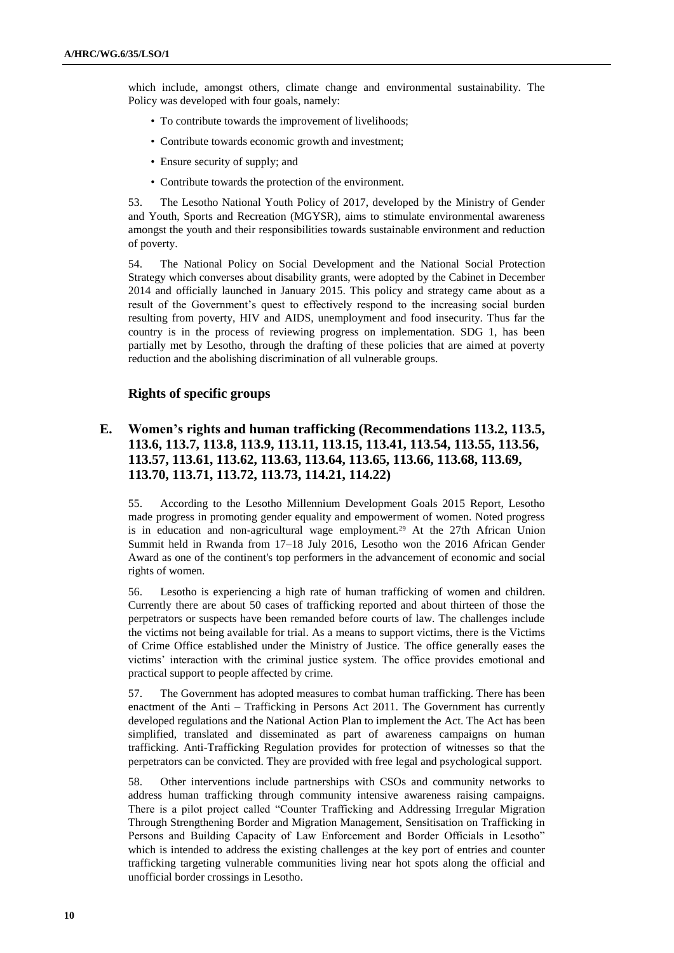which include, amongst others, climate change and environmental sustainability. The Policy was developed with four goals, namely:

- To contribute towards the improvement of livelihoods;
- Contribute towards economic growth and investment;
- Ensure security of supply; and
- Contribute towards the protection of the environment.

53. The Lesotho National Youth Policy of 2017, developed by the Ministry of Gender and Youth, Sports and Recreation (MGYSR), aims to stimulate environmental awareness amongst the youth and their responsibilities towards sustainable environment and reduction of poverty.

54. The National Policy on Social Development and the National Social Protection Strategy which converses about disability grants, were adopted by the Cabinet in December 2014 and officially launched in January 2015. This policy and strategy came about as a result of the Government's quest to effectively respond to the increasing social burden resulting from poverty, HIV and AIDS, unemployment and food insecurity. Thus far the country is in the process of reviewing progress on implementation. SDG 1, has been partially met by Lesotho, through the drafting of these policies that are aimed at poverty reduction and the abolishing discrimination of all vulnerable groups.

#### **Rights of specific groups**

## **E. Women's rights and human trafficking (Recommendations 113.2, 113.5, 113.6, 113.7, 113.8, 113.9, 113.11, 113.15, 113.41, 113.54, 113.55, 113.56, 113.57, 113.61, 113.62, 113.63, 113.64, 113.65, 113.66, 113.68, 113.69, 113.70, 113.71, 113.72, 113.73, 114.21, 114.22)**

55. According to the Lesotho Millennium Development Goals 2015 Report, Lesotho made progress in promoting gender equality and empowerment of women. Noted progress is in education and non-agricultural wage employment.<sup>29</sup> At the 27th African Union Summit held in Rwanda from 17–18 July 2016, Lesotho won the 2016 African Gender Award as one of the continent's top performers in the advancement of economic and social rights of women.

56. Lesotho is experiencing a high rate of human trafficking of women and children. Currently there are about 50 cases of trafficking reported and about thirteen of those the perpetrators or suspects have been remanded before courts of law. The challenges include the victims not being available for trial. As a means to support victims, there is the Victims of Crime Office established under the Ministry of Justice. The office generally eases the victims' interaction with the criminal justice system. The office provides emotional and practical support to people affected by crime.

57. The Government has adopted measures to combat human trafficking. There has been enactment of the Anti – Trafficking in Persons Act 2011. The Government has currently developed regulations and the National Action Plan to implement the Act. The Act has been simplified, translated and disseminated as part of awareness campaigns on human trafficking. Anti-Trafficking Regulation provides for protection of witnesses so that the perpetrators can be convicted. They are provided with free legal and psychological support.

58. Other interventions include partnerships with CSOs and community networks to address human trafficking through community intensive awareness raising campaigns. There is a pilot project called "Counter Trafficking and Addressing Irregular Migration Through Strengthening Border and Migration Management, Sensitisation on Trafficking in Persons and Building Capacity of Law Enforcement and Border Officials in Lesotho" which is intended to address the existing challenges at the key port of entries and counter trafficking targeting vulnerable communities living near hot spots along the official and unofficial border crossings in Lesotho.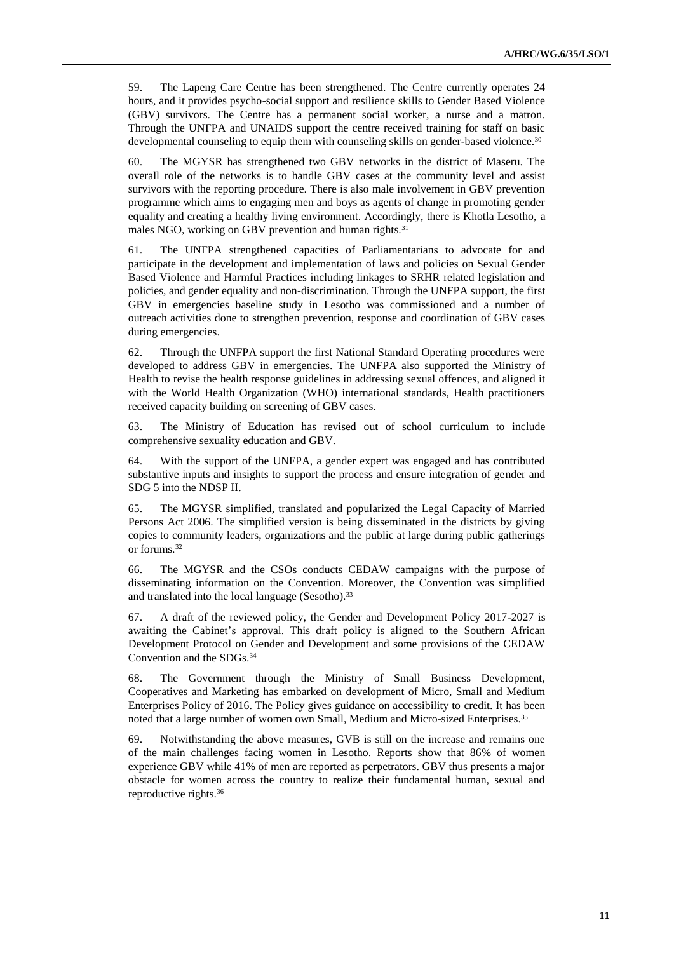59. The Lapeng Care Centre has been strengthened. The Centre currently operates 24 hours, and it provides psycho-social support and resilience skills to Gender Based Violence (GBV) survivors. The Centre has a permanent social worker, a nurse and a matron. Through the UNFPA and UNAIDS support the centre received training for staff on basic developmental counseling to equip them with counseling skills on gender-based violence.<sup>30</sup>

60. The MGYSR has strengthened two GBV networks in the district of Maseru. The overall role of the networks is to handle GBV cases at the community level and assist survivors with the reporting procedure. There is also male involvement in GBV prevention programme which aims to engaging men and boys as agents of change in promoting gender equality and creating a healthy living environment. Accordingly, there is Khotla Lesotho, a males NGO, working on GBV prevention and human rights.<sup>31</sup>

61. The UNFPA strengthened capacities of Parliamentarians to advocate for and participate in the development and implementation of laws and policies on Sexual Gender Based Violence and Harmful Practices including linkages to SRHR related legislation and policies, and gender equality and non-discrimination. Through the UNFPA support, the first GBV in emergencies baseline study in Lesotho was commissioned and a number of outreach activities done to strengthen prevention, response and coordination of GBV cases during emergencies.

62. Through the UNFPA support the first National Standard Operating procedures were developed to address GBV in emergencies. The UNFPA also supported the Ministry of Health to revise the health response guidelines in addressing sexual offences, and aligned it with the World Health Organization (WHO) international standards, Health practitioners received capacity building on screening of GBV cases.

63. The Ministry of Education has revised out of school curriculum to include comprehensive sexuality education and GBV.

64. With the support of the UNFPA, a gender expert was engaged and has contributed substantive inputs and insights to support the process and ensure integration of gender and SDG 5 into the NDSP II.

65. The MGYSR simplified, translated and popularized the Legal Capacity of Married Persons Act 2006. The simplified version is being disseminated in the districts by giving copies to community leaders, organizations and the public at large during public gatherings or forums.<sup>32</sup>

66. The MGYSR and the CSOs conducts CEDAW campaigns with the purpose of disseminating information on the Convention. Moreover, the Convention was simplified and translated into the local language (Sesotho).<sup>33</sup>

67. A draft of the reviewed policy, the Gender and Development Policy 2017-2027 is awaiting the Cabinet's approval. This draft policy is aligned to the Southern African Development Protocol on Gender and Development and some provisions of the CEDAW Convention and the SDGs.<sup>34</sup>

68. The Government through the Ministry of Small Business Development, Cooperatives and Marketing has embarked on development of Micro, Small and Medium Enterprises Policy of 2016. The Policy gives guidance on accessibility to credit. It has been noted that a large number of women own Small, Medium and Micro-sized Enterprises.<sup>35</sup>

69. Notwithstanding the above measures, GVB is still on the increase and remains one of the main challenges facing women in Lesotho. Reports show that 86% of women experience GBV while 41% of men are reported as perpetrators. GBV thus presents a major obstacle for women across the country to realize their fundamental human, sexual and reproductive rights.36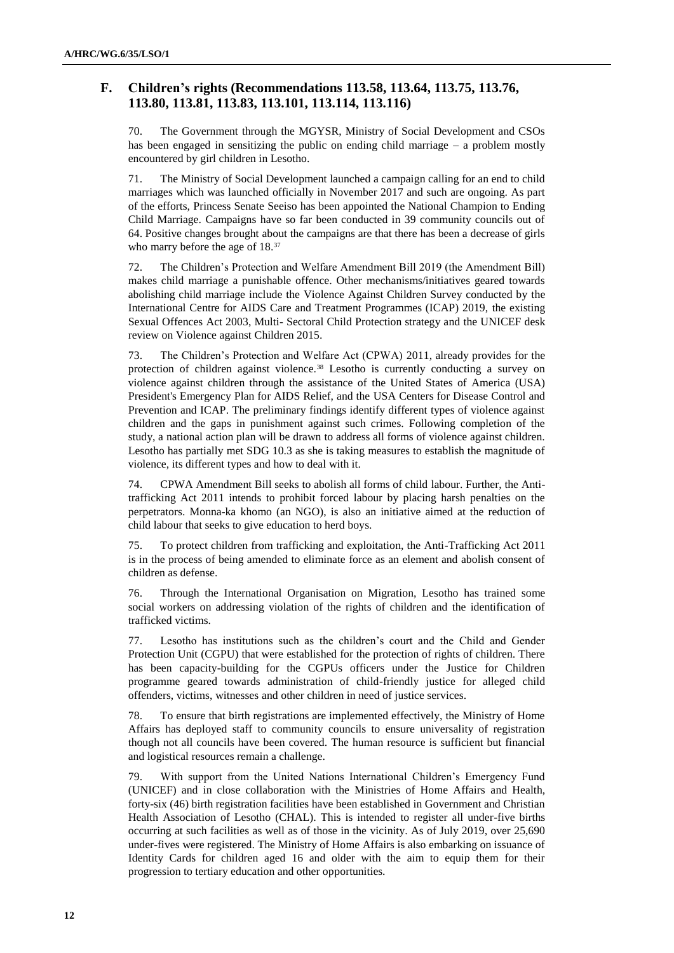# **F. Children's rights (Recommendations 113.58, 113.64, 113.75, 113.76, 113.80, 113.81, 113.83, 113.101, 113.114, 113.116)**

70. The Government through the MGYSR, Ministry of Social Development and CSOs has been engaged in sensitizing the public on ending child marriage – a problem mostly encountered by girl children in Lesotho.

71. The Ministry of Social Development launched a campaign calling for an end to child marriages which was launched officially in November 2017 and such are ongoing. As part of the efforts, Princess Senate Seeiso has been appointed the National Champion to Ending Child Marriage. Campaigns have so far been conducted in 39 community councils out of 64. Positive changes brought about the campaigns are that there has been a decrease of girls who marry before the age of  $18.^{37}$ 

72. The Children's Protection and Welfare Amendment Bill 2019 (the Amendment Bill) makes child marriage a punishable offence. Other mechanisms/initiatives geared towards abolishing child marriage include the Violence Against Children Survey conducted by the International Centre for AIDS Care and Treatment Programmes (ICAP) 2019, the existing Sexual Offences Act 2003, Multi- Sectoral Child Protection strategy and the UNICEF desk review on Violence against Children 2015.

73. The Children's Protection and Welfare Act (CPWA) 2011, already provides for the protection of children against violence.<sup>38</sup> Lesotho is currently conducting a survey on violence against children through the assistance of the United States of America (USA) President's Emergency Plan for AIDS Relief, and the USA Centers for Disease Control and Prevention and ICAP. The preliminary findings identify different types of violence against children and the gaps in punishment against such crimes. Following completion of the study, a national action plan will be drawn to address all forms of violence against children. Lesotho has partially met SDG 10.3 as she is taking measures to establish the magnitude of violence, its different types and how to deal with it.

74. CPWA Amendment Bill seeks to abolish all forms of child labour. Further, the Antitrafficking Act 2011 intends to prohibit forced labour by placing harsh penalties on the perpetrators. Monna-ka khomo (an NGO), is also an initiative aimed at the reduction of child labour that seeks to give education to herd boys.

75. To protect children from trafficking and exploitation, the Anti-Trafficking Act 2011 is in the process of being amended to eliminate force as an element and abolish consent of children as defense.

76. Through the International Organisation on Migration, Lesotho has trained some social workers on addressing violation of the rights of children and the identification of trafficked victims.

77. Lesotho has institutions such as the children's court and the Child and Gender Protection Unit (CGPU) that were established for the protection of rights of children. There has been capacity-building for the CGPUs officers under the Justice for Children programme geared towards administration of child-friendly justice for alleged child offenders, victims, witnesses and other children in need of justice services.

78. To ensure that birth registrations are implemented effectively, the Ministry of Home Affairs has deployed staff to community councils to ensure universality of registration though not all councils have been covered. The human resource is sufficient but financial and logistical resources remain a challenge.

79. With support from the United Nations International Children's Emergency Fund (UNICEF) and in close collaboration with the Ministries of Home Affairs and Health, forty-six (46) birth registration facilities have been established in Government and Christian Health Association of Lesotho (CHAL). This is intended to register all under-five births occurring at such facilities as well as of those in the vicinity. As of July 2019, over 25,690 under-fives were registered. The Ministry of Home Affairs is also embarking on issuance of Identity Cards for children aged 16 and older with the aim to equip them for their progression to tertiary education and other opportunities.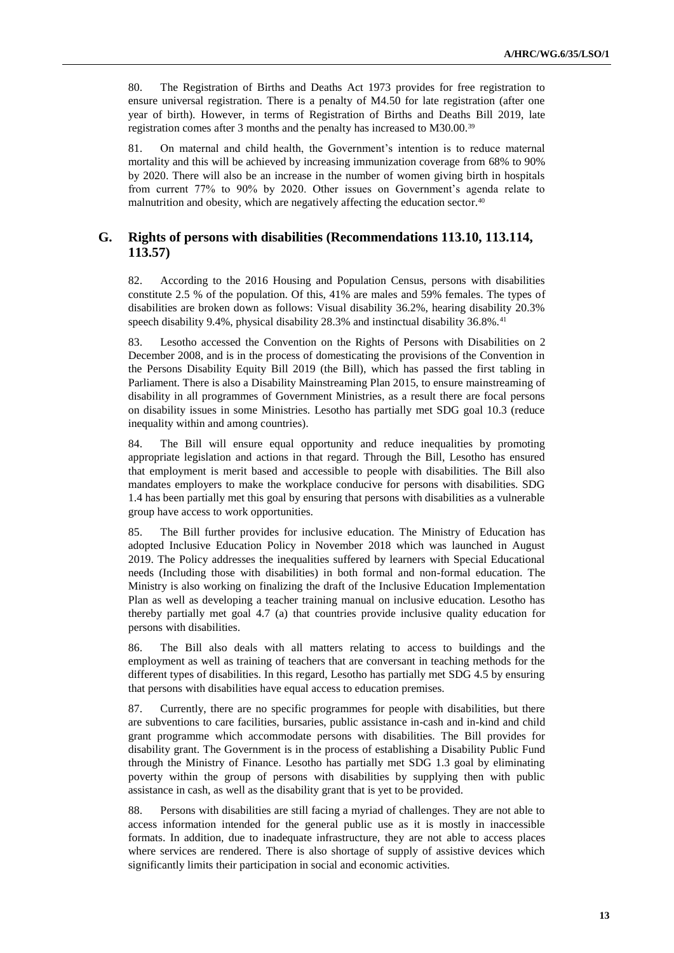80. The Registration of Births and Deaths Act 1973 provides for free registration to ensure universal registration. There is a penalty of M4.50 for late registration (after one year of birth). However, in terms of Registration of Births and Deaths Bill 2019, late registration comes after 3 months and the penalty has increased to M30.00.<sup>39</sup>

81. On maternal and child health, the Government's intention is to reduce maternal mortality and this will be achieved by increasing immunization coverage from 68% to 90% by 2020. There will also be an increase in the number of women giving birth in hospitals from current 77% to 90% by 2020. Other issues on Government's agenda relate to malnutrition and obesity, which are negatively affecting the education sector.<sup>40</sup>

#### **G. Rights of persons with disabilities (Recommendations 113.10, 113.114, 113.57)**

82. According to the 2016 Housing and Population Census, persons with disabilities constitute 2.5 % of the population. Of this, 41% are males and 59% females. The types of disabilities are broken down as follows: Visual disability 36.2%, hearing disability 20.3% speech disability 9.4%, physical disability 28.3% and instinctual disability 36.8%.<sup>41</sup>

83. Lesotho accessed the Convention on the Rights of Persons with Disabilities on 2 December 2008, and is in the process of domesticating the provisions of the Convention in the Persons Disability Equity Bill 2019 (the Bill), which has passed the first tabling in Parliament. There is also a Disability Mainstreaming Plan 2015, to ensure mainstreaming of disability in all programmes of Government Ministries, as a result there are focal persons on disability issues in some Ministries. Lesotho has partially met SDG goal 10.3 (reduce inequality within and among countries).

84. The Bill will ensure equal opportunity and reduce inequalities by promoting appropriate legislation and actions in that regard. Through the Bill, Lesotho has ensured that employment is merit based and accessible to people with disabilities. The Bill also mandates employers to make the workplace conducive for persons with disabilities. SDG 1.4 has been partially met this goal by ensuring that persons with disabilities as a vulnerable group have access to work opportunities.

85. The Bill further provides for inclusive education. The Ministry of Education has adopted Inclusive Education Policy in November 2018 which was launched in August 2019. The Policy addresses the inequalities suffered by learners with Special Educational needs (Including those with disabilities) in both formal and non-formal education. The Ministry is also working on finalizing the draft of the Inclusive Education Implementation Plan as well as developing a teacher training manual on inclusive education. Lesotho has thereby partially met goal 4.7 (a) that countries provide inclusive quality education for persons with disabilities.

86. The Bill also deals with all matters relating to access to buildings and the employment as well as training of teachers that are conversant in teaching methods for the different types of disabilities. In this regard, Lesotho has partially met SDG 4.5 by ensuring that persons with disabilities have equal access to education premises.

87. Currently, there are no specific programmes for people with disabilities, but there are subventions to care facilities, bursaries, public assistance in-cash and in-kind and child grant programme which accommodate persons with disabilities. The Bill provides for disability grant. The Government is in the process of establishing a Disability Public Fund through the Ministry of Finance. Lesotho has partially met SDG 1.3 goal by eliminating poverty within the group of persons with disabilities by supplying then with public assistance in cash, as well as the disability grant that is yet to be provided.

88. Persons with disabilities are still facing a myriad of challenges. They are not able to access information intended for the general public use as it is mostly in inaccessible formats. In addition, due to inadequate infrastructure, they are not able to access places where services are rendered. There is also shortage of supply of assistive devices which significantly limits their participation in social and economic activities.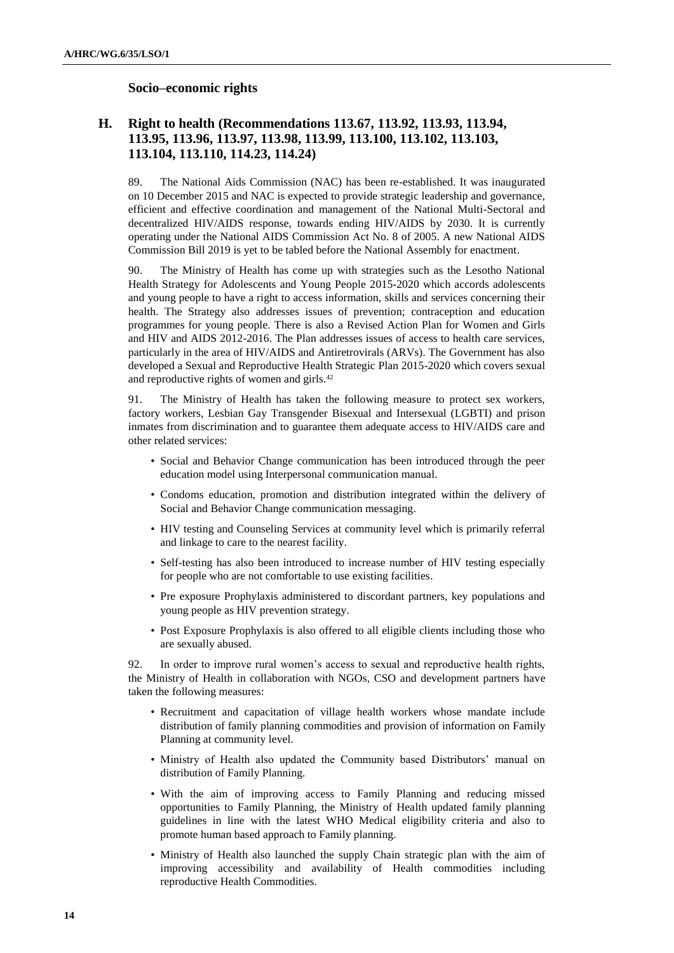#### **Socio–economic rights**

# **H. Right to health (Recommendations 113.67, 113.92, 113.93, 113.94, 113.95, 113.96, 113.97, 113.98, 113.99, 113.100, 113.102, 113.103, 113.104, 113.110, 114.23, 114.24)**

89. The National Aids Commission (NAC) has been re-established. It was inaugurated on 10 December 2015 and NAC is expected to provide strategic leadership and governance, efficient and effective coordination and management of the National Multi-Sectoral and decentralized HIV/AIDS response, towards ending HIV/AIDS by 2030. It is currently operating under the National AIDS Commission Act No. 8 of 2005. A new National AIDS Commission Bill 2019 is yet to be tabled before the National Assembly for enactment.

90. The Ministry of Health has come up with strategies such as the Lesotho National Health Strategy for Adolescents and Young People 2015-2020 which accords adolescents and young people to have a right to access information, skills and services concerning their health. The Strategy also addresses issues of prevention; contraception and education programmes for young people. There is also a Revised Action Plan for Women and Girls and HIV and AIDS 2012-2016. The Plan addresses issues of access to health care services, particularly in the area of HIV/AIDS and Antiretrovirals (ARVs). The Government has also developed a Sexual and Reproductive Health Strategic Plan 2015-2020 which covers sexual and reproductive rights of women and girls.<sup>42</sup>

91. The Ministry of Health has taken the following measure to protect sex workers, factory workers, Lesbian Gay Transgender Bisexual and Intersexual (LGBTI) and prison inmates from discrimination and to guarantee them adequate access to HIV/AIDS care and other related services:

- Social and Behavior Change communication has been introduced through the peer education model using Interpersonal communication manual.
- Condoms education, promotion and distribution integrated within the delivery of Social and Behavior Change communication messaging.
- HIV testing and Counseling Services at community level which is primarily referral and linkage to care to the nearest facility.
- Self-testing has also been introduced to increase number of HIV testing especially for people who are not comfortable to use existing facilities.
- Pre exposure Prophylaxis administered to discordant partners, key populations and young people as HIV prevention strategy.
- Post Exposure Prophylaxis is also offered to all eligible clients including those who are sexually abused.

92. In order to improve rural women's access to sexual and reproductive health rights, the Ministry of Health in collaboration with NGOs, CSO and development partners have taken the following measures:

- Recruitment and capacitation of village health workers whose mandate include distribution of family planning commodities and provision of information on Family Planning at community level.
- Ministry of Health also updated the Community based Distributors' manual on distribution of Family Planning.
- With the aim of improving access to Family Planning and reducing missed opportunities to Family Planning, the Ministry of Health updated family planning guidelines in line with the latest WHO Medical eligibility criteria and also to promote human based approach to Family planning.
- Ministry of Health also launched the supply Chain strategic plan with the aim of improving accessibility and availability of Health commodities including reproductive Health Commodities.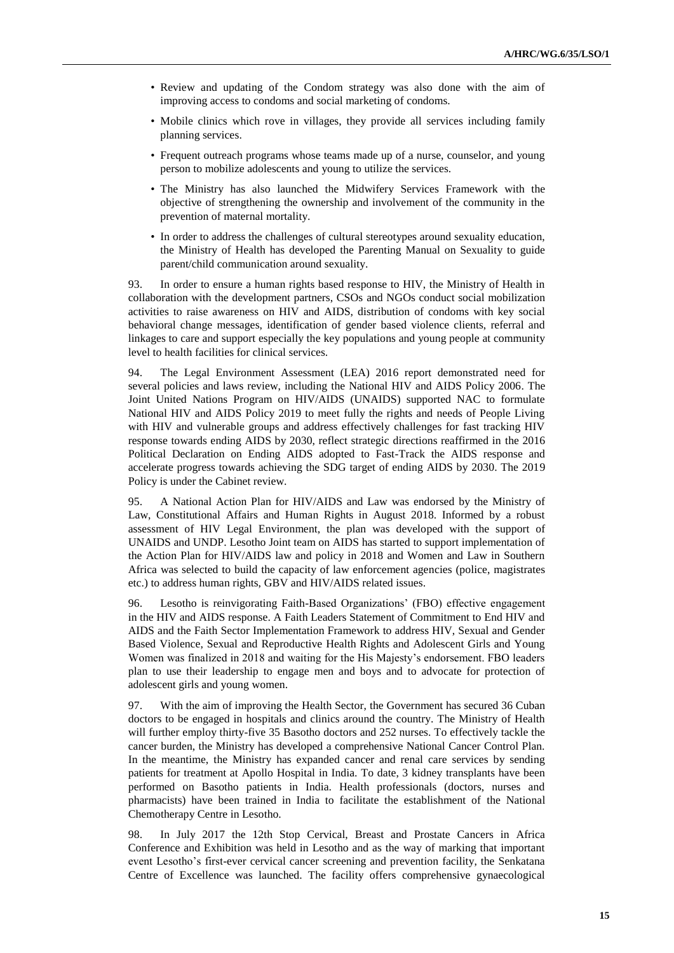- Review and updating of the Condom strategy was also done with the aim of improving access to condoms and social marketing of condoms.
- Mobile clinics which rove in villages, they provide all services including family planning services.
- Frequent outreach programs whose teams made up of a nurse, counselor, and young person to mobilize adolescents and young to utilize the services.
- The Ministry has also launched the Midwifery Services Framework with the objective of strengthening the ownership and involvement of the community in the prevention of maternal mortality.
- In order to address the challenges of cultural stereotypes around sexuality education, the Ministry of Health has developed the Parenting Manual on Sexuality to guide parent/child communication around sexuality.

93. In order to ensure a human rights based response to HIV, the Ministry of Health in collaboration with the development partners, CSOs and NGOs conduct social mobilization activities to raise awareness on HIV and AIDS, distribution of condoms with key social behavioral change messages, identification of gender based violence clients, referral and linkages to care and support especially the key populations and young people at community level to health facilities for clinical services.

94. The Legal Environment Assessment (LEA) 2016 report demonstrated need for several policies and laws review, including the National HIV and AIDS Policy 2006. The Joint United Nations Program on HIV/AIDS (UNAIDS) supported NAC to formulate National HIV and AIDS Policy 2019 to meet fully the rights and needs of People Living with HIV and vulnerable groups and address effectively challenges for fast tracking HIV response towards ending AIDS by 2030, reflect strategic directions reaffirmed in the 2016 Political Declaration on Ending AIDS adopted to Fast-Track the AIDS response and accelerate progress towards achieving the SDG target of ending AIDS by 2030. The 2019 Policy is under the Cabinet review.

95. A National Action Plan for HIV/AIDS and Law was endorsed by the Ministry of Law, Constitutional Affairs and Human Rights in August 2018. Informed by a robust assessment of HIV Legal Environment, the plan was developed with the support of UNAIDS and UNDP. Lesotho Joint team on AIDS has started to support implementation of the Action Plan for HIV/AIDS law and policy in 2018 and Women and Law in Southern Africa was selected to build the capacity of law enforcement agencies (police, magistrates etc.) to address human rights, GBV and HIV/AIDS related issues.

96. Lesotho is reinvigorating Faith-Based Organizations' (FBO) effective engagement in the HIV and AIDS response. A Faith Leaders Statement of Commitment to End HIV and AIDS and the Faith Sector Implementation Framework to address HIV, Sexual and Gender Based Violence, Sexual and Reproductive Health Rights and Adolescent Girls and Young Women was finalized in 2018 and waiting for the His Majesty's endorsement. FBO leaders plan to use their leadership to engage men and boys and to advocate for protection of adolescent girls and young women.

97. With the aim of improving the Health Sector, the Government has secured 36 Cuban doctors to be engaged in hospitals and clinics around the country. The Ministry of Health will further employ thirty-five 35 Basotho doctors and 252 nurses. To effectively tackle the cancer burden, the Ministry has developed a comprehensive National Cancer Control Plan. In the meantime, the Ministry has expanded cancer and renal care services by sending patients for treatment at Apollo Hospital in India. To date, 3 kidney transplants have been performed on Basotho patients in India. Health professionals (doctors, nurses and pharmacists) have been trained in India to facilitate the establishment of the National Chemotherapy Centre in Lesotho.

98. In July 2017 the 12th Stop Cervical, Breast and Prostate Cancers in Africa Conference and Exhibition was held in Lesotho and as the way of marking that important event Lesotho's first-ever cervical cancer screening and prevention facility, the Senkatana Centre of Excellence was launched. The facility offers comprehensive gynaecological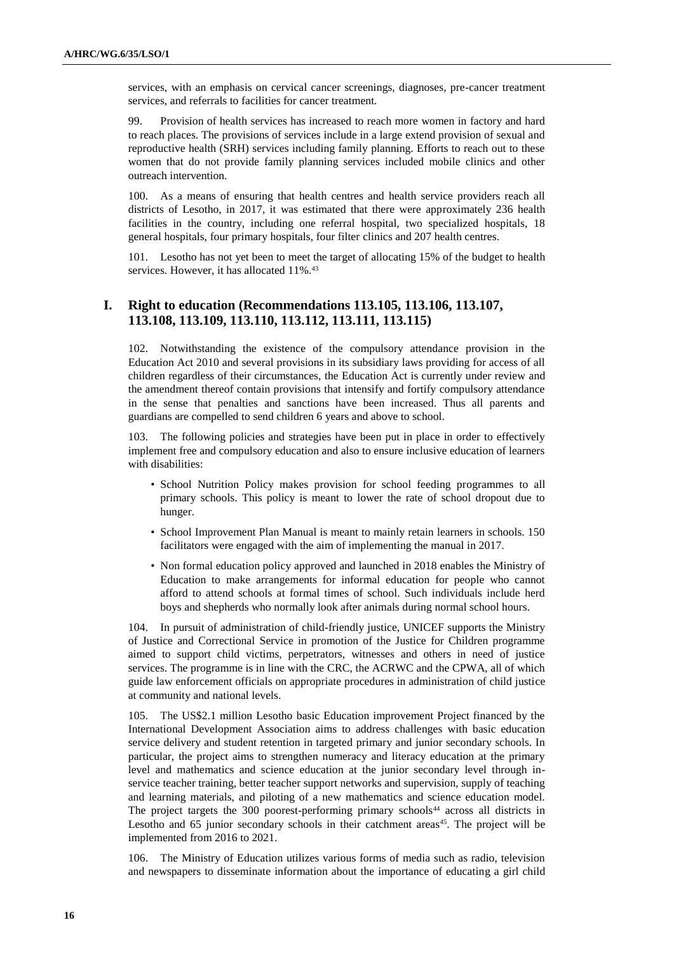services, with an emphasis on cervical cancer screenings, diagnoses, pre-cancer treatment services, and referrals to facilities for cancer treatment.

99. Provision of health services has increased to reach more women in factory and hard to reach places. The provisions of services include in a large extend provision of sexual and reproductive health (SRH) services including family planning. Efforts to reach out to these women that do not provide family planning services included mobile clinics and other outreach intervention.

100. As a means of ensuring that health centres and health service providers reach all districts of Lesotho, in 2017, it was estimated that there were approximately 236 health facilities in the country, including one referral hospital, two specialized hospitals, 18 general hospitals, four primary hospitals, four filter clinics and 207 health centres.

101. Lesotho has not yet been to meet the target of allocating 15% of the budget to health services. However, it has allocated 11%.<sup>43</sup>

#### **I. Right to education (Recommendations 113.105, 113.106, 113.107, 113.108, 113.109, 113.110, 113.112, 113.111, 113.115)**

102. Notwithstanding the existence of the compulsory attendance provision in the Education Act 2010 and several provisions in its subsidiary laws providing for access of all children regardless of their circumstances, the Education Act is currently under review and the amendment thereof contain provisions that intensify and fortify compulsory attendance in the sense that penalties and sanctions have been increased. Thus all parents and guardians are compelled to send children 6 years and above to school.

103. The following policies and strategies have been put in place in order to effectively implement free and compulsory education and also to ensure inclusive education of learners with disabilities:

- School Nutrition Policy makes provision for school feeding programmes to all primary schools. This policy is meant to lower the rate of school dropout due to hunger.
- School Improvement Plan Manual is meant to mainly retain learners in schools. 150 facilitators were engaged with the aim of implementing the manual in 2017.
- Non formal education policy approved and launched in 2018 enables the Ministry of Education to make arrangements for informal education for people who cannot afford to attend schools at formal times of school. Such individuals include herd boys and shepherds who normally look after animals during normal school hours.

104. In pursuit of administration of child-friendly justice, UNICEF supports the Ministry of Justice and Correctional Service in promotion of the Justice for Children programme aimed to support child victims, perpetrators, witnesses and others in need of justice services. The programme is in line with the CRC, the ACRWC and the CPWA, all of which guide law enforcement officials on appropriate procedures in administration of child justice at community and national levels.

105. The US\$2.1 million Lesotho basic Education improvement Project financed by the International Development Association aims to address challenges with basic education service delivery and student retention in targeted primary and junior secondary schools. In particular, the project aims to strengthen numeracy and literacy education at the primary level and mathematics and science education at the junior secondary level through inservice teacher training, better teacher support networks and supervision, supply of teaching and learning materials, and piloting of a new mathematics and science education model. The project targets the 300 poorest-performing primary schools<sup>44</sup> across all districts in Lesotho and 65 junior secondary schools in their catchment areas<sup>45</sup>. The project will be implemented from 2016 to 2021.

106. The Ministry of Education utilizes various forms of media such as radio, television and newspapers to disseminate information about the importance of educating a girl child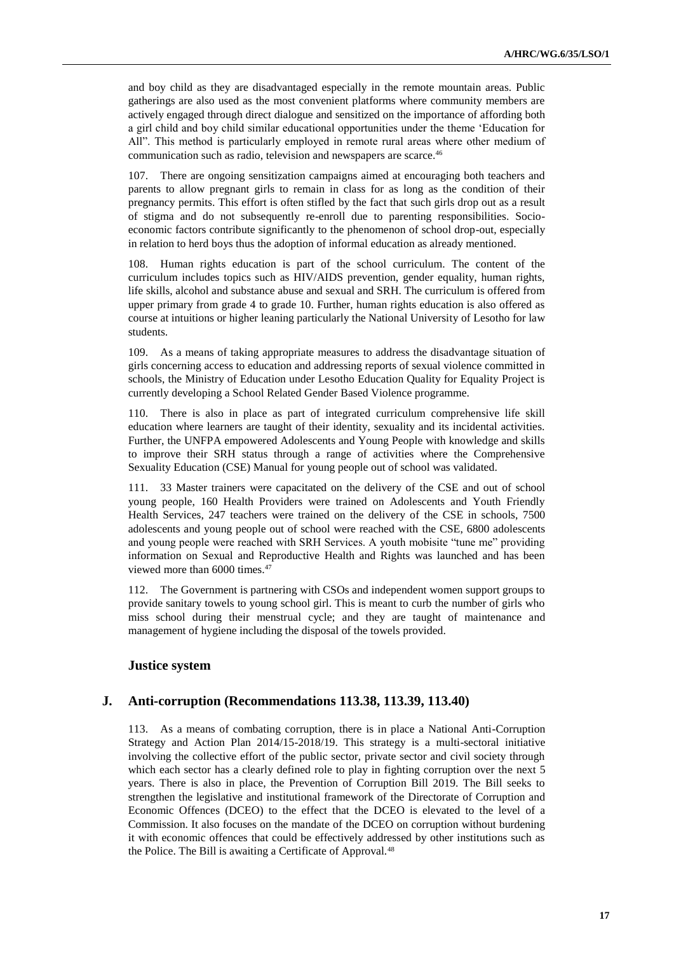and boy child as they are disadvantaged especially in the remote mountain areas. Public gatherings are also used as the most convenient platforms where community members are actively engaged through direct dialogue and sensitized on the importance of affording both a girl child and boy child similar educational opportunities under the theme 'Education for All". This method is particularly employed in remote rural areas where other medium of communication such as radio, television and newspapers are scarce.<sup>46</sup>

107. There are ongoing sensitization campaigns aimed at encouraging both teachers and parents to allow pregnant girls to remain in class for as long as the condition of their pregnancy permits. This effort is often stifled by the fact that such girls drop out as a result of stigma and do not subsequently re-enroll due to parenting responsibilities. Socioeconomic factors contribute significantly to the phenomenon of school drop-out, especially in relation to herd boys thus the adoption of informal education as already mentioned.

108. Human rights education is part of the school curriculum. The content of the curriculum includes topics such as HIV/AIDS prevention, gender equality, human rights, life skills, alcohol and substance abuse and sexual and SRH. The curriculum is offered from upper primary from grade 4 to grade 10. Further, human rights education is also offered as course at intuitions or higher leaning particularly the National University of Lesotho for law students.

109. As a means of taking appropriate measures to address the disadvantage situation of girls concerning access to education and addressing reports of sexual violence committed in schools, the Ministry of Education under Lesotho Education Quality for Equality Project is currently developing a School Related Gender Based Violence programme.

110. There is also in place as part of integrated curriculum comprehensive life skill education where learners are taught of their identity, sexuality and its incidental activities. Further, the UNFPA empowered Adolescents and Young People with knowledge and skills to improve their SRH status through a range of activities where the Comprehensive Sexuality Education (CSE) Manual for young people out of school was validated.

111. 33 Master trainers were capacitated on the delivery of the CSE and out of school young people, 160 Health Providers were trained on Adolescents and Youth Friendly Health Services, 247 teachers were trained on the delivery of the CSE in schools, 7500 adolescents and young people out of school were reached with the CSE, 6800 adolescents and young people were reached with SRH Services. A youth mobisite "tune me" providing information on Sexual and Reproductive Health and Rights was launched and has been viewed more than 6000 times.<sup>47</sup>

112. The Government is partnering with CSOs and independent women support groups to provide sanitary towels to young school girl. This is meant to curb the number of girls who miss school during their menstrual cycle; and they are taught of maintenance and management of hygiene including the disposal of the towels provided.

#### **Justice system**

#### **J. Anti-corruption (Recommendations 113.38, 113.39, 113.40)**

113. As a means of combating corruption, there is in place a National Anti-Corruption Strategy and Action Plan 2014/15-2018/19. This strategy is a multi-sectoral initiative involving the collective effort of the public sector, private sector and civil society through which each sector has a clearly defined role to play in fighting corruption over the next 5 years. There is also in place, the Prevention of Corruption Bill 2019. The Bill seeks to strengthen the legislative and institutional framework of the Directorate of Corruption and Economic Offences (DCEO) to the effect that the DCEO is elevated to the level of a Commission. It also focuses on the mandate of the DCEO on corruption without burdening it with economic offences that could be effectively addressed by other institutions such as the Police. The Bill is awaiting a Certificate of Approval.<sup>48</sup>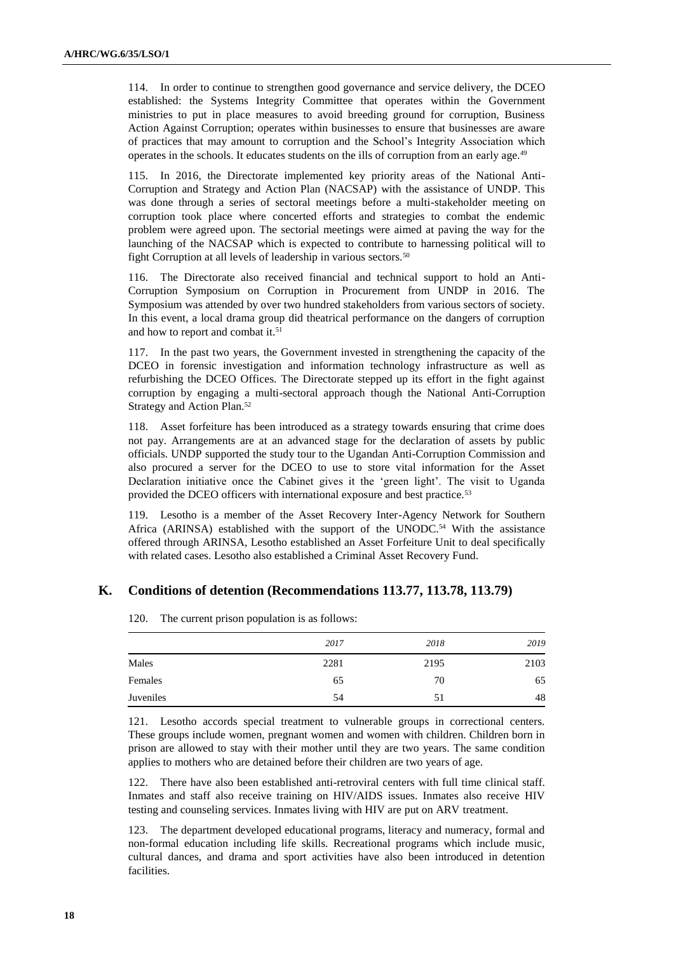114. In order to continue to strengthen good governance and service delivery, the DCEO established: the Systems Integrity Committee that operates within the Government ministries to put in place measures to avoid breeding ground for corruption, Business Action Against Corruption; operates within businesses to ensure that businesses are aware of practices that may amount to corruption and the School's Integrity Association which operates in the schools. It educates students on the ills of corruption from an early age.<sup>49</sup>

115. In 2016, the Directorate implemented key priority areas of the National Anti-Corruption and Strategy and Action Plan (NACSAP) with the assistance of UNDP. This was done through a series of sectoral meetings before a multi-stakeholder meeting on corruption took place where concerted efforts and strategies to combat the endemic problem were agreed upon. The sectorial meetings were aimed at paving the way for the launching of the NACSAP which is expected to contribute to harnessing political will to fight Corruption at all levels of leadership in various sectors.<sup>50</sup>

116. The Directorate also received financial and technical support to hold an Anti-Corruption Symposium on Corruption in Procurement from UNDP in 2016. The Symposium was attended by over two hundred stakeholders from various sectors of society. In this event, a local drama group did theatrical performance on the dangers of corruption and how to report and combat it.<sup>51</sup>

117. In the past two years, the Government invested in strengthening the capacity of the DCEO in forensic investigation and information technology infrastructure as well as refurbishing the DCEO Offices. The Directorate stepped up its effort in the fight against corruption by engaging a multi-sectoral approach though the National Anti-Corruption Strategy and Action Plan.<sup>52</sup>

118. Asset forfeiture has been introduced as a strategy towards ensuring that crime does not pay. Arrangements are at an advanced stage for the declaration of assets by public officials. UNDP supported the study tour to the Ugandan Anti-Corruption Commission and also procured a server for the DCEO to use to store vital information for the Asset Declaration initiative once the Cabinet gives it the 'green light'. The visit to Uganda provided the DCEO officers with international exposure and best practice.<sup>53</sup>

119. Lesotho is a member of the Asset Recovery Inter-Agency Network for Southern Africa (ARINSA) established with the support of the UNODC.<sup>54</sup> With the assistance offered through ARINSA, Lesotho established an Asset Forfeiture Unit to deal specifically with related cases. Lesotho also established a Criminal Asset Recovery Fund.

#### **K. Conditions of detention (Recommendations 113.77, 113.78, 113.79)**

|           | 2017 | 2018 | 2019 |
|-----------|------|------|------|
| Males     | 2281 | 2195 | 2103 |
| Females   | 65   | 70   | 65   |
| Juveniles | 54   | 51   | 48   |

120. The current prison population is as follows:

121. Lesotho accords special treatment to vulnerable groups in correctional centers. These groups include women, pregnant women and women with children. Children born in prison are allowed to stay with their mother until they are two years. The same condition applies to mothers who are detained before their children are two years of age.

122. There have also been established anti-retroviral centers with full time clinical staff. Inmates and staff also receive training on HIV/AIDS issues. Inmates also receive HIV testing and counseling services. Inmates living with HIV are put on ARV treatment.

123. The department developed educational programs, literacy and numeracy, formal and non-formal education including life skills. Recreational programs which include music, cultural dances, and drama and sport activities have also been introduced in detention facilities.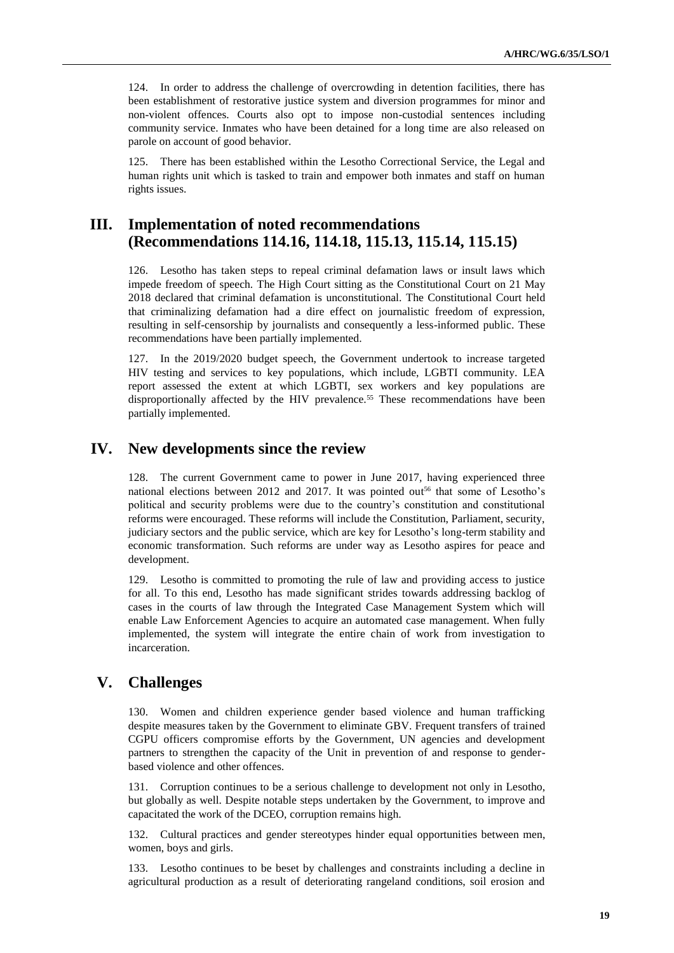124. In order to address the challenge of overcrowding in detention facilities, there has been establishment of restorative justice system and diversion programmes for minor and non-violent offences. Courts also opt to impose non-custodial sentences including community service. Inmates who have been detained for a long time are also released on parole on account of good behavior.

125. There has been established within the Lesotho Correctional Service, the Legal and human rights unit which is tasked to train and empower both inmates and staff on human rights issues.

# **III. Implementation of noted recommendations (Recommendations 114.16, 114.18, 115.13, 115.14, 115.15)**

126. Lesotho has taken steps to repeal criminal defamation laws or insult laws which impede freedom of speech. The High Court sitting as the Constitutional Court on 21 May 2018 declared that criminal defamation is unconstitutional. The Constitutional Court held that criminalizing defamation had a dire effect on journalistic freedom of expression, resulting in self-censorship by journalists and consequently a less-informed public. These recommendations have been partially implemented.

127. In the 2019/2020 budget speech, the Government undertook to increase targeted HIV testing and services to key populations, which include, LGBTI community. LEA report assessed the extent at which LGBTI, sex workers and key populations are disproportionally affected by the HIV prevalence.<sup>55</sup> These recommendations have been partially implemented.

# **IV. New developments since the review**

128. The current Government came to power in June 2017, having experienced three national elections between 2012 and 2017. It was pointed out<sup>56</sup> that some of Lesotho's political and security problems were due to the country's constitution and constitutional reforms were encouraged. These reforms will include the Constitution, Parliament, security, judiciary sectors and the public service, which are key for Lesotho's long-term stability and economic transformation. Such reforms are under way as Lesotho aspires for peace and development.

129. Lesotho is committed to promoting the rule of law and providing access to justice for all. To this end, Lesotho has made significant strides towards addressing backlog of cases in the courts of law through the Integrated Case Management System which will enable Law Enforcement Agencies to acquire an automated case management. When fully implemented, the system will integrate the entire chain of work from investigation to incarceration.

# **V. Challenges**

130. Women and children experience gender based violence and human trafficking despite measures taken by the Government to eliminate GBV. Frequent transfers of trained CGPU officers compromise efforts by the Government, UN agencies and development partners to strengthen the capacity of the Unit in prevention of and response to genderbased violence and other offences.

131. Corruption continues to be a serious challenge to development not only in Lesotho, but globally as well. Despite notable steps undertaken by the Government, to improve and capacitated the work of the DCEO, corruption remains high.

132. Cultural practices and gender stereotypes hinder equal opportunities between men, women, boys and girls.

133. Lesotho continues to be beset by challenges and constraints including a decline in agricultural production as a result of deteriorating rangeland conditions, soil erosion and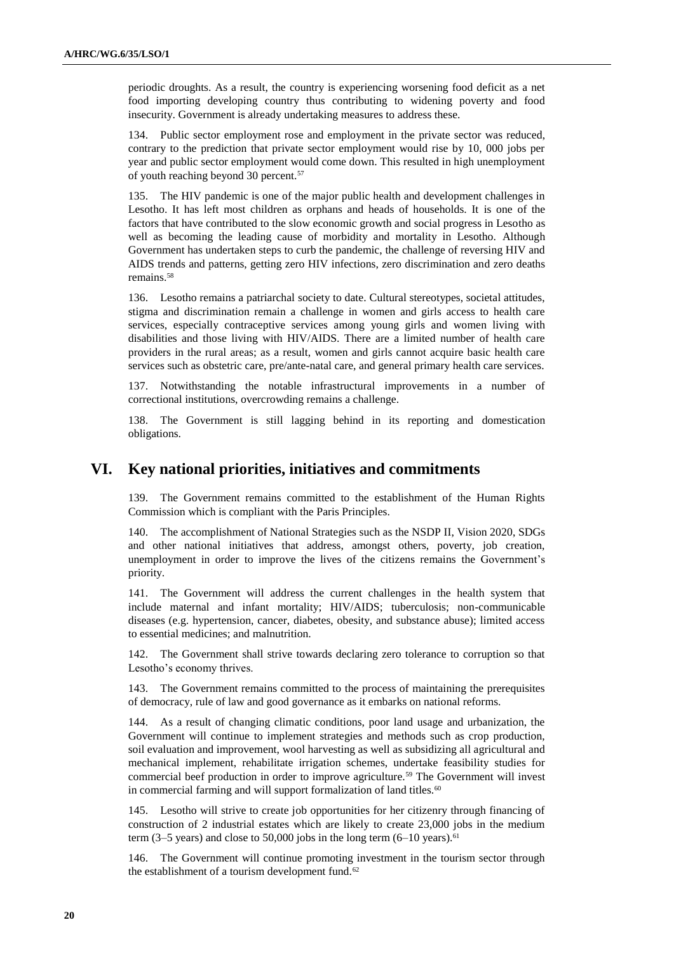periodic droughts. As a result, the country is experiencing worsening food deficit as a net food importing developing country thus contributing to widening poverty and food insecurity. Government is already undertaking measures to address these.

134. Public sector employment rose and employment in the private sector was reduced, contrary to the prediction that private sector employment would rise by 10, 000 jobs per year and public sector employment would come down. This resulted in high unemployment of youth reaching beyond 30 percent.<sup>57</sup>

135. The HIV pandemic is one of the major public health and development challenges in Lesotho. It has left most children as orphans and heads of households. It is one of the factors that have contributed to the slow economic growth and social progress in Lesotho as well as becoming the leading cause of morbidity and mortality in Lesotho. Although Government has undertaken steps to curb the pandemic, the challenge of reversing HIV and AIDS trends and patterns, getting zero HIV infections, zero discrimination and zero deaths remains.<sup>58</sup>

136. Lesotho remains a patriarchal society to date. Cultural stereotypes, societal attitudes, stigma and discrimination remain a challenge in women and girls access to health care services, especially contraceptive services among young girls and women living with disabilities and those living with HIV/AIDS. There are a limited number of health care providers in the rural areas; as a result, women and girls cannot acquire basic health care services such as obstetric care, pre/ante-natal care, and general primary health care services.

137. Notwithstanding the notable infrastructural improvements in a number of correctional institutions, overcrowding remains a challenge.

138. The Government is still lagging behind in its reporting and domestication obligations.

# **VI. Key national priorities, initiatives and commitments**

139. The Government remains committed to the establishment of the Human Rights Commission which is compliant with the Paris Principles.

140. The accomplishment of National Strategies such as the NSDP II, Vision 2020, SDGs and other national initiatives that address, amongst others, poverty, job creation, unemployment in order to improve the lives of the citizens remains the Government's priority.

141. The Government will address the current challenges in the health system that include maternal and infant mortality; HIV/AIDS; tuberculosis; non-communicable diseases (e.g. hypertension, cancer, diabetes, obesity, and substance abuse); limited access to essential medicines; and malnutrition.

142. The Government shall strive towards declaring zero tolerance to corruption so that Lesotho's economy thrives.

143. The Government remains committed to the process of maintaining the prerequisites of democracy, rule of law and good governance as it embarks on national reforms.

144. As a result of changing climatic conditions, poor land usage and urbanization, the Government will continue to implement strategies and methods such as crop production, soil evaluation and improvement, wool harvesting as well as subsidizing all agricultural and mechanical implement, rehabilitate irrigation schemes, undertake feasibility studies for commercial beef production in order to improve agriculture.<sup>59</sup> The Government will invest in commercial farming and will support formalization of land titles.<sup>60</sup>

145. Lesotho will strive to create job opportunities for her citizenry through financing of construction of 2 industrial estates which are likely to create 23,000 jobs in the medium term  $(3-5$  years) and close to 50,000 jobs in the long term  $(6-10)$  years).<sup>61</sup>

146. The Government will continue promoting investment in the tourism sector through the establishment of a tourism development fund.<sup>62</sup>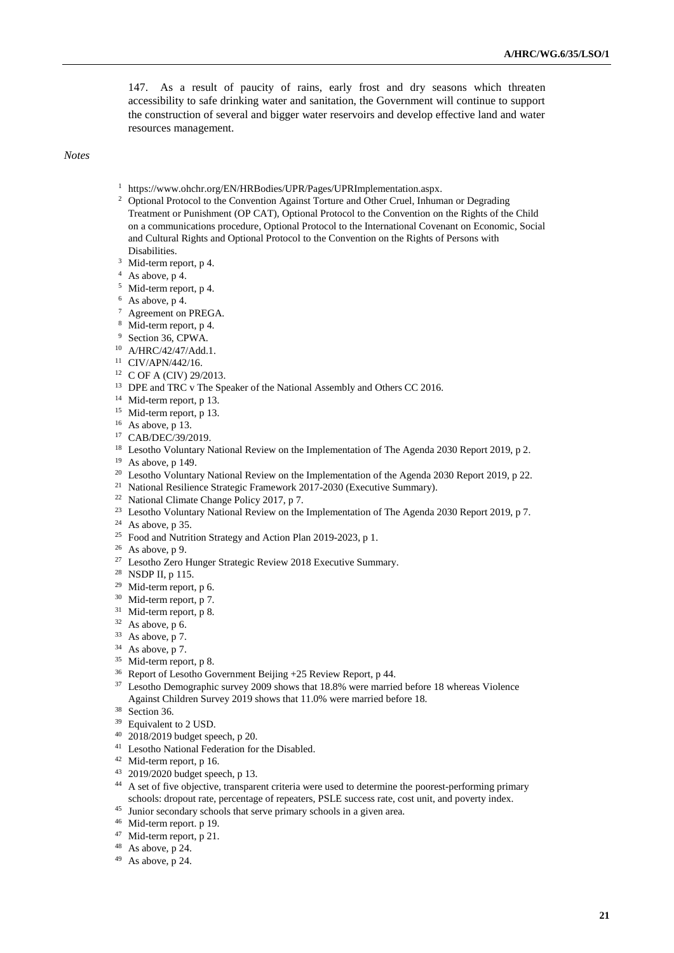147. As a result of paucity of rains, early frost and dry seasons which threaten accessibility to safe drinking water and sanitation, the Government will continue to support the construction of several and bigger water reservoirs and develop effective land and water resources management.

*Notes*

- <sup>1</sup> [https://www.ohchr.org/EN/HRBodies/UPR/Pages/UPRImplementation.aspx.](https://www.ohchr.org/EN/HRBodies/UPR/Pages/UPRImplementation.aspx)
- <sup>2</sup> Optional Protocol to the Convention Against Torture and Other Cruel, Inhuman or Degrading Treatment or Punishment (OP CAT), Optional Protocol to the Convention on the Rights of the Child on a communications procedure, Optional Protocol to the International Covenant on Economic, Social and Cultural Rights and Optional Protocol to the Convention on the Rights of Persons with Disabilities.
- <sup>3</sup> Mid-term report, p 4.
- <sup>4</sup> As above, p 4.
- <sup>5</sup> Mid-term report, p 4.
- $6$  As above, p 4.
- <sup>7</sup> Agreement on PREGA.
- <sup>8</sup> Mid-term report, p 4.
- <sup>9</sup> Section 36, CPWA.
- <sup>10</sup> A/HRC/42/47/Add.1.
- <sup>11</sup> CIV/APN/442/16.
- <sup>12</sup> C OF A (CIV) 29/2013.
- <sup>13</sup> DPE and TRC v The Speaker of the National Assembly and Others CC 2016.
- <sup>14</sup> Mid-term report, p 13.
- <sup>15</sup> Mid-term report, p 13.
- $16$  As above, p 13.
- <sup>17</sup> CAB/DEC/39/2019.
- <sup>18</sup> Lesotho Voluntary National Review on the Implementation of The Agenda 2030 Report 2019, p 2.
- <sup>19</sup> As above, p 149.
- <sup>20</sup> Lesotho Voluntary National Review on the Implementation of the Agenda 2030 Report 2019, p 22.
- <sup>21</sup> National Resilience Strategic Framework 2017-2030 (Executive Summary).
- <sup>22</sup> National Climate Change Policy 2017, p 7.
- <sup>23</sup> Lesotho Voluntary National Review on the Implementation of The Agenda 2030 Report 2019, p 7.
- <sup>24</sup> As above, p 35.
- <sup>25</sup> Food and Nutrition Strategy and Action Plan 2019-2023, p 1.
- $26$  As above, p 9.
- <sup>27</sup> Lesotho Zero Hunger Strategic Review 2018 Executive Summary.
- <sup>28</sup> NSDP II, p 115.
- <sup>29</sup> Mid-term report, p 6.
- <sup>30</sup> Mid-term report, p 7.
- <sup>31</sup> Mid-term report, p 8.
- $32$  As above, p 6.
- $33$  As above, p 7.
- $34$  As above, p 7.
- <sup>35</sup> Mid-term report, p 8.
- <sup>36</sup> Report of Lesotho Government Beijing +25 Review Report, p 44.
- <sup>37</sup> Lesotho Demographic survey 2009 shows that 18.8% were married before 18 whereas Violence Against Children Survey 2019 shows that 11.0% were married before 18.
- <sup>38</sup> Section 36.
- <sup>39</sup> Equivalent to 2 USD.
- <sup>40</sup> 2018/2019 budget speech, p 20.
- <sup>41</sup> Lesotho National Federation for the Disabled.
- <sup>42</sup> Mid-term report, p 16.
- <sup>43</sup> 2019/2020 budget speech, p 13.
- <sup>44</sup> A set of five objective, transparent criteria were used to determine the poorest-performing primary schools: dropout rate, percentage of repeaters, PSLE success rate, cost unit, and poverty index.
- <sup>45</sup> Junior secondary schools that serve primary schools in a given area.
- <sup>46</sup> Mid-term report. p 19.
- <sup>47</sup> Mid-term report, p 21.
- <sup>48</sup> As above, p 24.
- $49$  As above, p 24.